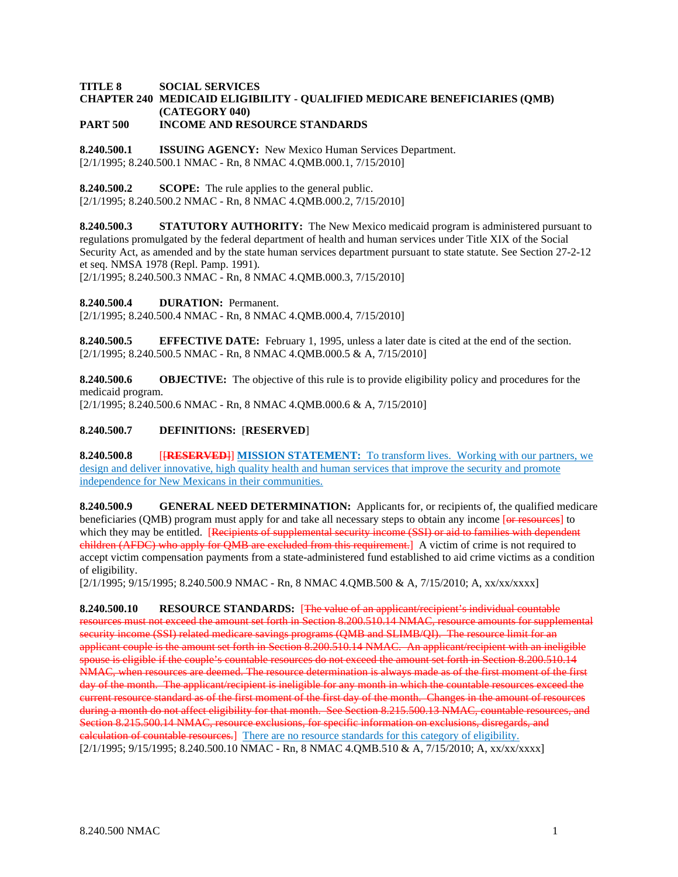### **TITLE 8 SOCIAL SERVICES CHAPTER 240 MEDICAID ELIGIBILITY - QUALIFIED MEDICARE BENEFICIARIES (QMB) (CATEGORY 040) PART 500 INCOME AND RESOURCE STANDARDS**

**8.240.500.1 ISSUING AGENCY:** New Mexico Human Services Department. [2/1/1995; 8.240.500.1 NMAC - Rn, 8 NMAC 4.QMB.000.1, 7/15/2010]

**8.240.500.2 SCOPE:** The rule applies to the general public.

[2/1/1995; 8.240.500.2 NMAC - Rn, 8 NMAC 4.QMB.000.2, 7/15/2010]

**8.240.500.3 STATUTORY AUTHORITY:** The New Mexico medicaid program is administered pursuant to regulations promulgated by the federal department of health and human services under Title XIX of the Social Security Act, as amended and by the state human services department pursuant to state statute. See Section 27-2-12 et seq. NMSA 1978 (Repl. Pamp. 1991).

[2/1/1995; 8.240.500.3 NMAC - Rn, 8 NMAC 4.QMB.000.3, 7/15/2010]

**8.240.500.4 DURATION:** Permanent.

[2/1/1995; 8.240.500.4 NMAC - Rn, 8 NMAC 4.QMB.000.4, 7/15/2010]

**8.240.500.5 EFFECTIVE DATE:** February 1, 1995, unless a later date is cited at the end of the section. [2/1/1995; 8.240.500.5 NMAC - Rn, 8 NMAC 4.QMB.000.5 & A, 7/15/2010]

**8.240.500.6 OBJECTIVE:** The objective of this rule is to provide eligibility policy and procedures for the medicaid program.

[2/1/1995; 8.240.500.6 NMAC - Rn, 8 NMAC 4.QMB.000.6 & A, 7/15/2010]

# **8.240.500.7 DEFINITIONS:** [**RESERVED**]

**8.240.500.8** [[**RESERVED**]] **MISSION STATEMENT:** To transform lives. Working with our partners, we design and deliver innovative, high quality health and human services that improve the security and promote independence for New Mexicans in their communities.

**8.240.500.9 GENERAL NEED DETERMINATION:** Applicants for, or recipients of, the qualified medicare beneficiaries (QMB) program must apply for and take all necessary steps to obtain any income [or resources] to which they may be entitled. **Recipients of supplemental security income (SSI) or aid to families with dependent** children (AFDC) who apply for OMB are excluded from this requirement. A victim of crime is not required to accept victim compensation payments from a state-administered fund established to aid crime victims as a condition of eligibility.

[2/1/1995; 9/15/1995; 8.240.500.9 NMAC - Rn, 8 NMAC 4.QMB.500 & A, 7/15/2010; A, xx/xx/xxxx]

**8.240.500.10 RESOURCE STANDARDS:** [The value of an applicant/recipient's individual countable resources must not exceed the amount set forth in Section 8.200.510.14 NMAC, resource amounts for supplemental security income (SSI) related medicare savings programs (QMB and SLIMB/QI). The resource limit for an applicant couple is the amount set forth in Section 8.200.510.14 NMAC. An applicant/recipient with an ineligible spouse is eligible if the couple's countable resources do not exceed the amount set forth in Section 8.200.510.14 NMAC, when resources are deemed. The resource determination is always made as of the first moment of the first day of the month. The applicant/recipient is ineligible for any month in which the countable resources exceed the current resource standard as of the first moment of the first day of the month. Changes in the amount of resources during a month do not affect eligibility for that month. See Section 8.215.500.13 NMAC, countable resources, and Section 8.215.500.14 NMAC, resource exclusions, for specific information on exclusions, disregards, and calculation of countable resources.] There are no resource standards for this category of eligibility. [2/1/1995; 9/15/1995; 8.240.500.10 NMAC - Rn, 8 NMAC 4.QMB.510 & A, 7/15/2010; A, xx/xx/xxxx]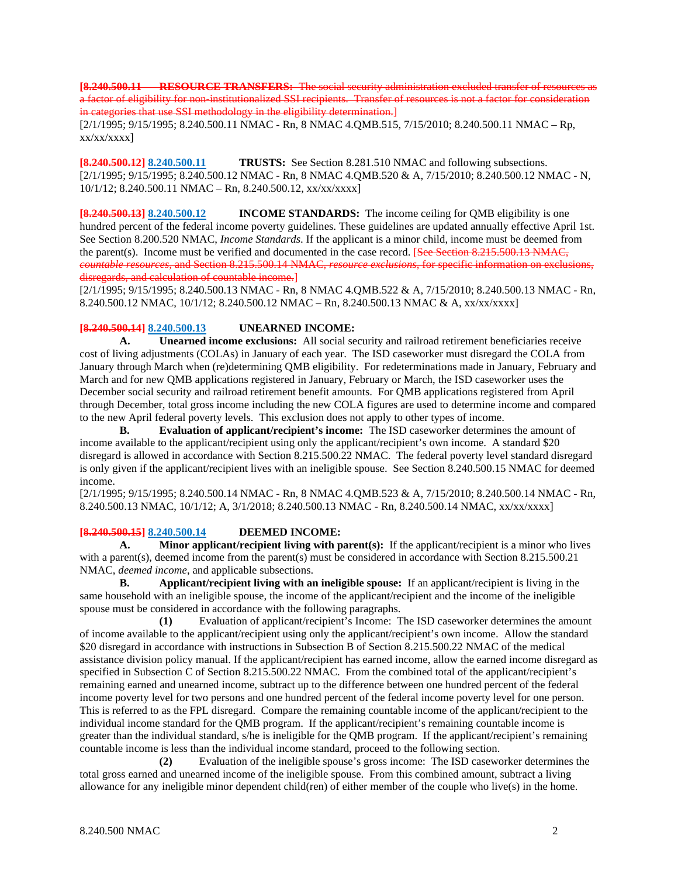**[8.240.500.11 RESOURCE TRANSFERS:** The social security administration excluded transfer of resources as a factor of eligibility for non-institutionalized SSI recipients. Transfer of resources is not a factor for consideration in categories that use SSI methodology in the eligibility determination.

[2/1/1995; 9/15/1995; 8.240.500.11 NMAC - Rn, 8 NMAC 4.QMB.515, 7/15/2010; 8.240.500.11 NMAC – Rp, xx/xx/xxxx]

**[8.240.500.12] 8.240.500.11 TRUSTS:** See Section 8.281.510 NMAC and following subsections. [2/1/1995; 9/15/1995; 8.240.500.12 NMAC - Rn, 8 NMAC 4.QMB.520 & A, 7/15/2010; 8.240.500.12 NMAC - N, 10/1/12; 8.240.500.11 NMAC – Rn, 8.240.500.12, xx/xx/xxxx]

**[8.240.500.13] 8.240.500.12 INCOME STANDARDS:** The income ceiling for QMB eligibility is one hundred percent of the federal income poverty guidelines. These guidelines are updated annually effective April 1st. See Section 8.200.520 NMAC, *Income Standards*. If the applicant is a minor child, income must be deemed from the parent(s). Income must be verified and documented in the case record. [See Section 8.215.500.13 NMAC, *countable resources*, and Section 8.215.500.14 NMAC, *resource exclusions*, for specific information on exclusions, disregards, and calculation of countable income.]

[2/1/1995; 9/15/1995; 8.240.500.13 NMAC - Rn, 8 NMAC 4.QMB.522 & A, 7/15/2010; 8.240.500.13 NMAC - Rn, 8.240.500.12 NMAC, 10/1/12; 8.240.500.12 NMAC – Rn, 8.240.500.13 NMAC & A, xx/xx/xxxx]

## **[8.240.500.14] 8.240.500.13 UNEARNED INCOME:**

**A. Unearned income exclusions:** All social security and railroad retirement beneficiaries receive cost of living adjustments (COLAs) in January of each year. The ISD caseworker must disregard the COLA from January through March when (re)determining QMB eligibility. For redeterminations made in January, February and March and for new QMB applications registered in January, February or March, the ISD caseworker uses the December social security and railroad retirement benefit amounts. For QMB applications registered from April through December, total gross income including the new COLA figures are used to determine income and compared to the new April federal poverty levels. This exclusion does not apply to other types of income.

**B. Evaluation of applicant/recipient's income:** The ISD caseworker determines the amount of income available to the applicant/recipient using only the applicant/recipient's own income. A standard \$20 disregard is allowed in accordance with Section 8.215.500.22 NMAC. The federal poverty level standard disregard is only given if the applicant/recipient lives with an ineligible spouse. See Section 8.240.500.15 NMAC for deemed income.

[2/1/1995; 9/15/1995; 8.240.500.14 NMAC - Rn, 8 NMAC 4.QMB.523 & A, 7/15/2010; 8.240.500.14 NMAC - Rn, 8.240.500.13 NMAC, 10/1/12; A, 3/1/2018; 8.240.500.13 NMAC - Rn, 8.240.500.14 NMAC, xx/xx/xxxx]

### **[8.240.500.15] 8.240.500.14 DEEMED INCOME:**

**A. Minor applicant/recipient living with parent(s):** If the applicant/recipient is a minor who lives with a parent(s), deemed income from the parent(s) must be considered in accordance with Section 8.215.500.21 NMAC, *deemed income*, and applicable subsections.

**B. Applicant/recipient living with an ineligible spouse:** If an applicant/recipient is living in the same household with an ineligible spouse, the income of the applicant/recipient and the income of the ineligible spouse must be considered in accordance with the following paragraphs.

**(1)** Evaluation of applicant/recipient's Income: The ISD caseworker determines the amount of income available to the applicant/recipient using only the applicant/recipient's own income. Allow the standard \$20 disregard in accordance with instructions in Subsection B of Section 8.215.500.22 NMAC of the medical assistance division policy manual. If the applicant/recipient has earned income, allow the earned income disregard as specified in Subsection C of Section 8.215.500.22 NMAC. From the combined total of the applicant/recipient's remaining earned and unearned income, subtract up to the difference between one hundred percent of the federal income poverty level for two persons and one hundred percent of the federal income poverty level for one person. This is referred to as the FPL disregard. Compare the remaining countable income of the applicant/recipient to the individual income standard for the QMB program. If the applicant/recipient's remaining countable income is greater than the individual standard, s/he is ineligible for the QMB program. If the applicant/recipient's remaining countable income is less than the individual income standard, proceed to the following section.

**(2)** Evaluation of the ineligible spouse's gross income: The ISD caseworker determines the total gross earned and unearned income of the ineligible spouse. From this combined amount, subtract a living allowance for any ineligible minor dependent child(ren) of either member of the couple who live(s) in the home.